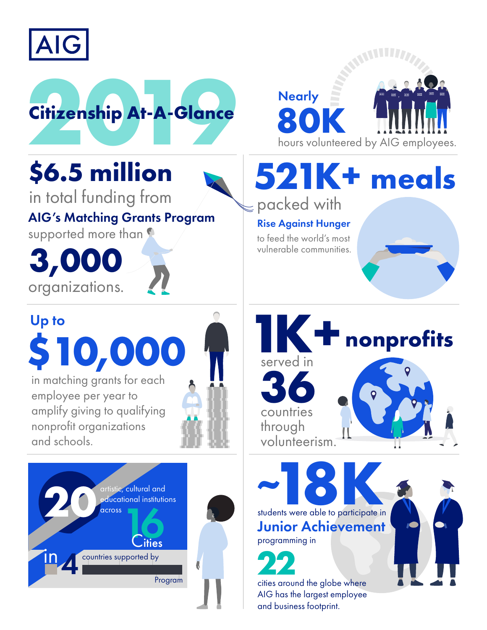



## **\$6.5 million**

in total funding from AIG's Matching Grants Program supported more than

**3,000** organizations.

## Up to **\$1 0,000**

in matching gr ants for each employee per year to amplify giving to qualifying nonprofit organizations and schools.





**80K Nearly** hours volunteered by AIG employees.

**521K+ meals** packed with

## Rise Against Hunger

to feed the world's most vulnerable communities.



Junior Achievement programming in

**22** cities around the globe where AIG has the largest employee and business footprint.